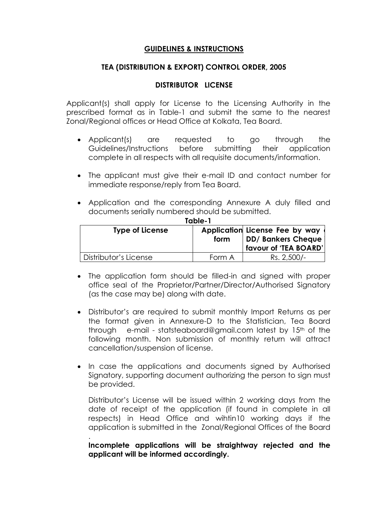# **GUIDELINES & INSTRUCTIONS**

# **TEA (DISTRIBUTION & EXPORT) CONTROL ORDER, 2005**

# **DISTRIBUTOR LICENSE**

Applicant(s) shall apply for License to the Licensing Authority in the prescribed format as in Table-1 and submit the same to the nearest Zonal/Regional offices or Head Office at Kolkata, Tea Board.

- Applicant(s) are requested to go through the Guidelines/Instructions before submitting their application complete in all respects with all requisite documents/information.
- The applicant must give their e-mail ID and contact number for immediate response/reply from Tea Board.
- Application and the corresponding Annexure A duly filled and documents serially numbered should be submitted.

| 1996-1                 |        |                                                                                      |  |  |
|------------------------|--------|--------------------------------------------------------------------------------------|--|--|
| <b>Type of License</b> | form   | Application License Fee by way<br><b>DD/ Bankers Cheque</b><br>favour of 'TEA BOARD' |  |  |
| Distributor's License  | Form A | Rs. 2,500/-                                                                          |  |  |

- **Table-1**
- The application form should be filled-in and signed with proper office seal of the Proprietor/Partner/Director/Authorised Signatory (as the case may be) along with date.
- Distributor's are required to submit monthly Import Returns as per the format given in Annexure-D to the Statistician, Tea Board through e-mail - statsteaboard@gmail.com latest by 15<sup>th</sup> of the following month. Non submission of monthly return will attract cancellation/suspension of license.
- In case the applications and documents signed by Authorised Signatory, supporting document authorizing the person to sign must be provided.

Distributor's License will be issued within 2 working days from the date of receipt of the application (if found in complete in all respects) in Head Office and wihtin10 working days if the application is submitted in the Zonal/Regional Offices of the Board

**Incomplete applications will be straightway rejected and the applicant will be informed accordingly.** 

.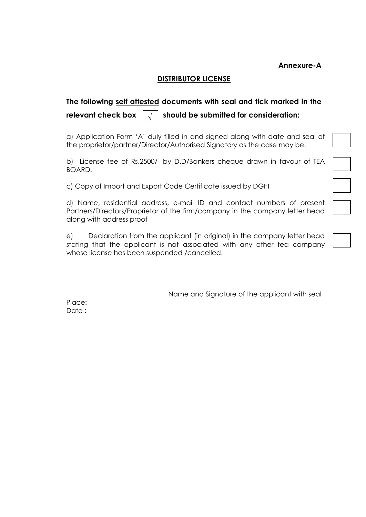**Annexure-A**

# **DISTRIBUTOR LICENSE**

#### **The following self attested documents with seal and tick marked in the**  relevant check box  $\|\sqrt{t}\|$  should be submitted for consideration: **√**

a) Application Form 'A' duly filled in and signed along with date and seal of the proprietor/partner/Director/Authorised Signatory as the case may be.

b) License fee of Rs.2500/- by D.D/Bankers cheque drawn in favour of TEA BOARD.

c) Copy of Import and Export Code Certificate issued by DGFT

d) Name, residential address, e-mail ID and contact numbers of present Partners/Directors/Proprietor of the firm/company in the company letter head along with address proof

e) Declaration from the applicant (in original) in the company letter head stating that the applicant is not associated with any other tea company whose license has been suspended /cancelled.

Name and Signature of the applicant with seal

Place: Date: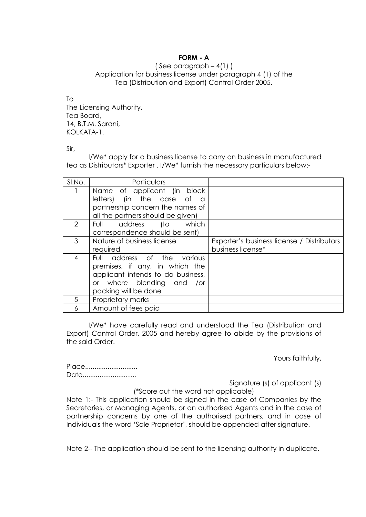## **FORM - A**

( See paragraph  $-4(1)$  ) Application for business license under paragraph 4 (1) of the Tea (Distribution and Export) Control Order 2005.

 $T<sub>O</sub>$ The Licensing Authority, Tea Board, 14, B.T.M. Sarani, KOLKATA-1

Sir,

I/We\* apply for a business license to carry on business in manufactured tea as Distributors\* Exporter . I/We\* furnish the necessary particulars below:-

| SI.No. | Particulars                             |                                            |
|--------|-----------------------------------------|--------------------------------------------|
|        | Name of applicant (in block             |                                            |
|        | (in the case of<br>letters)<br>$\Omega$ |                                            |
|        | partnership concern the names of        |                                            |
|        | all the partners should be given)       |                                            |
| 2      | address<br>(to<br>which<br>Full         |                                            |
|        | correspondence should be sent)          |                                            |
| 3      | Nature of business license              | Exporter's business license / Distributors |
|        | required                                | business license*                          |
| 4      | address of the<br>Full<br>various       |                                            |
|        | premises, if any, in which the          |                                            |
|        | applicant intends to do business,       |                                            |
|        | or where blending and<br>/or            |                                            |
|        | packing will be done                    |                                            |
| 5      | Proprietary marks                       |                                            |
| 6      | Amount of fees paid                     |                                            |

I/We\* have carefully read and understood the Tea (Distribution and Export) Control Order, 2005 and hereby agree to abide by the provisions of the said Order.

Yours faithfully,

Place............................. Date.............................

Signature (s) of applicant (s)

(\*Score out the word not applicable) Note 1:- This application should be signed in the case of Companies by the Secretaries, or Managing Agents, or an authorised Agents and in the case of partnership concerns by one of the authorised partners, and in case of Individuals the word 'Sole Proprietor', should be appended after signature.

Note 2-- The application should be sent to the licensing authority in duplicate.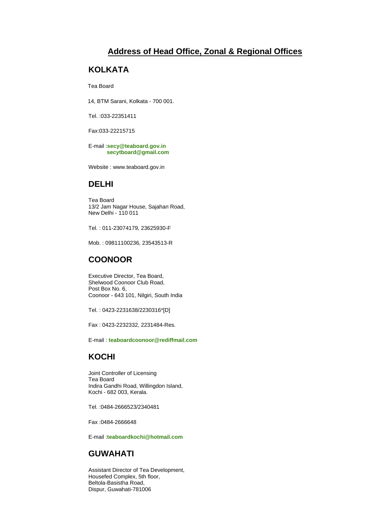# **Address of Head Office, Zonal & Regional Offices**

#### **KOLKATA**

Tea Board

14, BTM Sarani, Kolkata - 700 001.

Tel. :033-22351411

Fax:033-22215715

E-mail :**[secy@teaboard.gov.in](mailto:secy@teaboard.gov.in) [secytboard@gmail.com](mailto:%20%20%20%20%20%20%20%20%20%20secytboard@gmail.com)**

Website : www.teaboard.gov.in

### **DELHI**

Tea Board 13/2 Jam Nagar House, Sajahan Road, New Delhi - 110 011

Tel. : 011-23074179, 23625930-F

Mob. : 09811100236, 23543513-R

# **COONOOR**

Executive Director, Tea Board, Shelwood Coonoor Club Road, Post Box No. 6, Coonoor - 643 101, Nilgiri, South India

Tel. : 0423-2231638/2230316\*[D]

Fax : 0423-2232332, 2231484-Res.

E-mail : **[teaboardcoonoor@rediffmail.com](mailto:teaboardcoonoor@rediffmail.com)**

# **KOCHI**

Joint Controller of Licensing Tea Board Indira Gandhi Road, Willingdon Island, Kochi - 682 003, Kerala.

Tel. :0484-2666523/2340481

Fax :0484-2666648

E-mail :**[teaboardkochi@hotmail.com](mailto:teaboardkochi@hotmail.com)**

# **GUWAHATI**

Assistant Director of Tea Development, Housefed Complex, 5th floor, Beltola-Basistha Road, Dispur, Guwahati-781006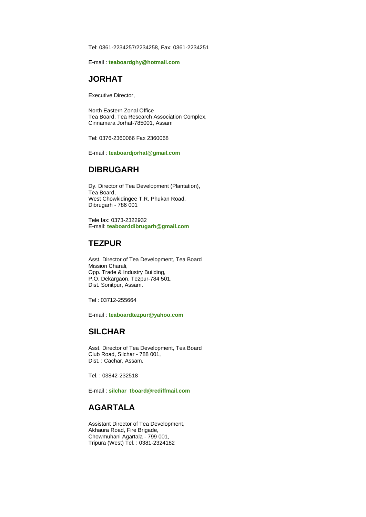Tel: 0361-2234257/2234258, Fax: 0361-2234251

E-mail : **[teaboardghy@hotmail.com](mailto:teaboardghy@hotmail.com)**

# **JORHAT**

Executive Director,

North Eastern Zonal Office Tea Board, Tea Research Association Complex, Cinnamara Jorhat-785001, Assam

Tel: 0376-2360066 Fax 2360068

E-mail : **[teaboardjorhat@gmail.com](mailto:teaboardjorhat@gmail.com)**

#### **DIBRUGARH**

Dy. Director of Tea Development (Plantation), Tea Board, West Chowkidingee T.R. Phukan Road, Dibrugarh - 786 001

Tele fax: 0373-2322932 E-mail: **[teaboarddibrugarh@gmail.com](mailto:teaboarddibrugarh@gmail.com)**

### **TEZPUR**

Asst. Director of Tea Development, Tea Board Mission Charali, Opp. Trade & Industry Building, P.O. Dekargaon, Tezpur-784 501, Dist. Sonitpur, Assam.

Tel : 03712-255664

E-mail : **[teaboardtezpur@yahoo.com](mailto:teaboardtezpur@yahoo.com)**

#### **SILCHAR**

Asst. Director of Tea Development, Tea Board Club Road, Silchar - 788 001, Dist. : Cachar, Assam.

Tel. : 03842-232518

E-mail : **[silchar\\_tboard@rediffmail.com](mailto:silchar_tboard@rediffmail.com)**

# **AGARTALA**

Assistant Director of Tea Development, Akhaura Road, Fire Brigade, Chowmuhani Agartala - 799 001, Tripura (West) Tel. : 0381-2324182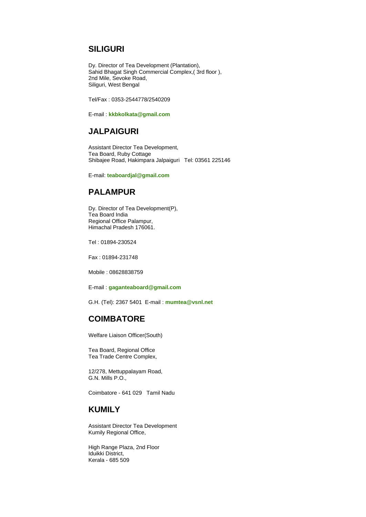### **SILIGURI**

Dy. Director of Tea Development (Plantation), Sahid Bhagat Singh Commercial Complex,( 3rd floor ), 2nd Mile, Sevoke Road, Siliguri, West Bengal

Tel/Fax : 0353-2544778/2540209

E-mail : **[kkbkolkata@gmail.com](mailto:kkbkolkata@gmail.com)**

### **JALPAIGURI**

Assistant Director Tea Development, Tea Board, Ruby Cottage Shibajee Road, Hakimpara Jalpaiguri Tel: 03561 225146

E-mail: **[teaboardjal@gmail.com](mailto:teaboardjal@gmail.com)**

# **PALAMPUR**

Dy. Director of Tea Development(P), Tea Board India Regional Office Palampur, Himachal Pradesh 176061.

Tel : 01894-230524

Fax : 01894-231748

Mobile : 08628838759

E-mail : **[gaganteaboard@gmail.com](mailto:gaganteaboard@gmail.com)**

G.H. (Tel): 2367 5401 E-mail : **[mumtea@vsnl.net](mailto:mumtea@vsnl.net)**

### **COIMBATORE**

Welfare Liaison Officer(South)

Tea Board, Regional Office Tea Trade Centre Complex,

12/278, Mettuppalayam Road, G.N. Mills P.O.,

Coimbatore - 641 029 Tamil Nadu

# **KUMILY**

Assistant Director Tea Development Kumily Regional Office,

High Range Plaza, 2nd Floor Iduikki District, Kerala - 685 509